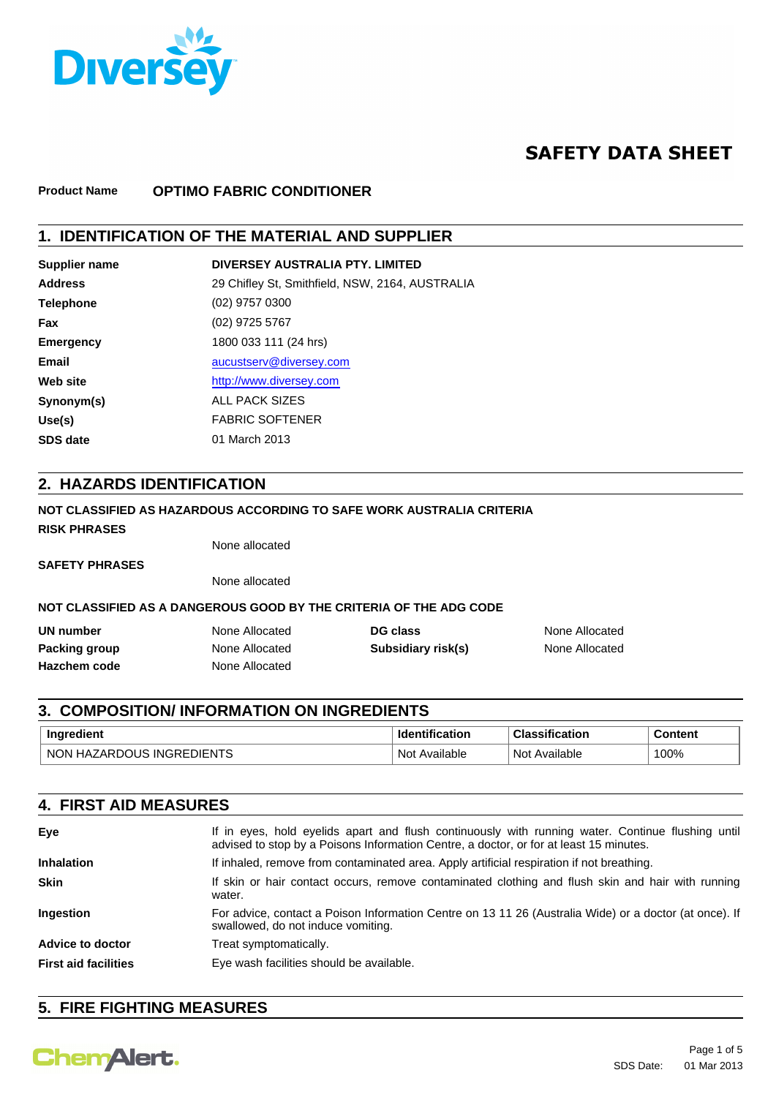

# **SAFETY DATA SHEET**

#### **Product Name OPTIMO FABRIC CONDITIONER**

## **1. IDENTIFICATION OF THE MATERIAL AND SUPPLIER**

| <b>Supplier name</b> | DIVERSEY AUSTRALIA PTY, LIMITED                 |
|----------------------|-------------------------------------------------|
| <b>Address</b>       | 29 Chifley St, Smithfield, NSW, 2164, AUSTRALIA |
| <b>Telephone</b>     | $(02)$ 9757 0300                                |
| <b>Fax</b>           | (02) 9725 5767                                  |
| <b>Emergency</b>     | 1800 033 111 (24 hrs)                           |
| Email                | aucustserv@diversey.com                         |
| Web site             | http://www.diversey.com                         |
| Synonym(s)           | ALL PACK SIZES                                  |
| Use(s)               | <b>FABRIC SOFTENER</b>                          |
| <b>SDS</b> date      | 01 March 2013                                   |

### **2. HAZARDS IDENTIFICATION**

#### **NOT CLASSIFIED AS HAZARDOUS ACCORDING TO SAFE WORK AUSTRALIA CRITERIA Hazchem code Packing group UN number DG class DG class None Allocated DG class None Allocated** None Allocated **Subsidiary risk(s)** None Allocated None Allocated **NOT CLASSIFIED AS A DANGEROUS GOOD BY THE CRITERIA OF THE ADG CODE SAFETY PHRASES** None allocated **RISK PHRASES** None allocated

## **3. COMPOSITION/ INFORMATION ON INGREDIENTS**

| . .                                       | uor            |                              | $-$ 2 $-$ 3 $-$ 3 $-$<br>ы |
|-------------------------------------------|----------------|------------------------------|----------------------------|
| $- -$<br>N0<br>n.<br>יי<br>нμ<br>-<br>. T | Not<br>ailable | Not.<br>allable <sup>.</sup> | '00%                       |

| <b>4. FIRST AID MEASURES</b> |                                                                                                                                                                                             |  |
|------------------------------|---------------------------------------------------------------------------------------------------------------------------------------------------------------------------------------------|--|
| Eye                          | If in eyes, hold eyelids apart and flush continuously with running water. Continue flushing until<br>advised to stop by a Poisons Information Centre, a doctor, or for at least 15 minutes. |  |
| <b>Inhalation</b>            | If inhaled, remove from contaminated area. Apply artificial respiration if not breathing.                                                                                                   |  |
| <b>Skin</b>                  | If skin or hair contact occurs, remove contaminated clothing and flush skin and hair with running<br>water.                                                                                 |  |
| Ingestion                    | For advice, contact a Poison Information Centre on 13 11 26 (Australia Wide) or a doctor (at once). If<br>swallowed, do not induce vomiting.                                                |  |
| <b>Advice to doctor</b>      | Treat symptomatically.                                                                                                                                                                      |  |
| <b>First aid facilities</b>  | Eye wash facilities should be available.                                                                                                                                                    |  |

## **5. FIRE FIGHTING MEASURES**

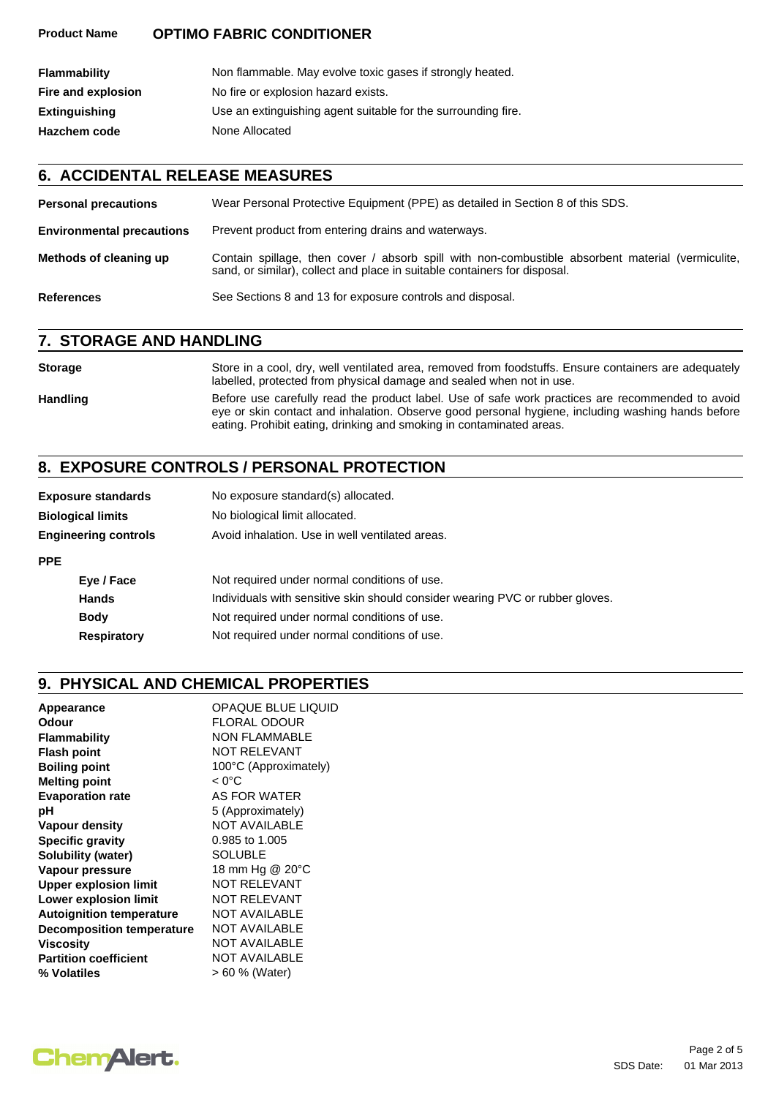#### **Product Name OPTIMO FABRIC CONDITIONER**

| <b>Flammability</b>  | Non flammable. May evolve toxic gases if strongly heated.     |
|----------------------|---------------------------------------------------------------|
| Fire and explosion   | No fire or explosion hazard exists.                           |
| <b>Extinguishing</b> | Use an extinguishing agent suitable for the surrounding fire. |
| <b>Hazchem code</b>  | None Allocated                                                |

### **6. ACCIDENTAL RELEASE MEASURES**

| <b>Personal precautions</b>      | Wear Personal Protective Equipment (PPE) as detailed in Section 8 of this SDS.                                                                                                 |  |
|----------------------------------|--------------------------------------------------------------------------------------------------------------------------------------------------------------------------------|--|
| <b>Environmental precautions</b> | Prevent product from entering drains and waterways.                                                                                                                            |  |
| Methods of cleaning up           | Contain spillage, then cover / absorb spill with non-combustible absorbent material (vermiculite,<br>sand, or similar), collect and place in suitable containers for disposal. |  |
| <b>References</b>                | See Sections 8 and 13 for exposure controls and disposal.                                                                                                                      |  |

### **7. STORAGE AND HANDLING**

#### **Storage** Store in a cool, dry, well ventilated area, removed from foodstuffs. Ensure containers are adequately labelled, protected from physical damage and sealed when not in use. Handling Before use carefully read the product label. Use of safe work practices are recommended to avoid eye or skin contact and inhalation. Observe good personal hygiene, including washing hands before eating. Prohibit eating, drinking and smoking in contaminated areas.

## **8. EXPOSURE CONTROLS / PERSONAL PROTECTION**

| <b>Exposure standards</b>   | No exposure standard(s) allocated.                                            |
|-----------------------------|-------------------------------------------------------------------------------|
| <b>Biological limits</b>    | No biological limit allocated.                                                |
| <b>Engineering controls</b> | Avoid inhalation. Use in well ventilated areas.                               |
| <b>PPE</b>                  |                                                                               |
| Eye / Face                  | Not required under normal conditions of use.                                  |
| <b>Hands</b>                | Individuals with sensitive skin should consider wearing PVC or rubber gloves. |
| <b>Body</b>                 | Not required under normal conditions of use.                                  |
| <b>Respiratory</b>          | Not required under normal conditions of use.                                  |

## **9. PHYSICAL AND CHEMICAL PROPERTIES**

| Appearance                       | <b>OPAQUE BLUE LIQUID</b> |
|----------------------------------|---------------------------|
| Odour                            | <b>FLORAL ODOUR</b>       |
| <b>Flammability</b>              | NON FLAMMABLE             |
| <b>Flash point</b>               | <b>NOT RELEVANT</b>       |
| <b>Boiling point</b>             | 100°C (Approximately)     |
| <b>Melting point</b>             | $< 0^{\circ}$ C           |
| <b>Evaporation rate</b>          | AS FOR WATER              |
| рH                               | 5 (Approximately)         |
| Vapour density                   | <b>NOT AVAILABLE</b>      |
| <b>Specific gravity</b>          | 0.985 to 1.005            |
| Solubility (water)               | <b>SOLUBLE</b>            |
| Vapour pressure                  | 18 mm Hg @ 20°C           |
| <b>Upper explosion limit</b>     | <b>NOT RELEVANT</b>       |
| <b>Lower explosion limit</b>     | <b>NOT RELEVANT</b>       |
| <b>Autoignition temperature</b>  | <b>NOT AVAILABLE</b>      |
| <b>Decomposition temperature</b> | <b>NOT AVAILABLE</b>      |
| Viscosity                        | <b>NOT AVAILABLE</b>      |
| <b>Partition coefficient</b>     | <b>NOT AVAILABLE</b>      |
| % Volatiles                      | > 60 % (Water)            |
|                                  |                           |

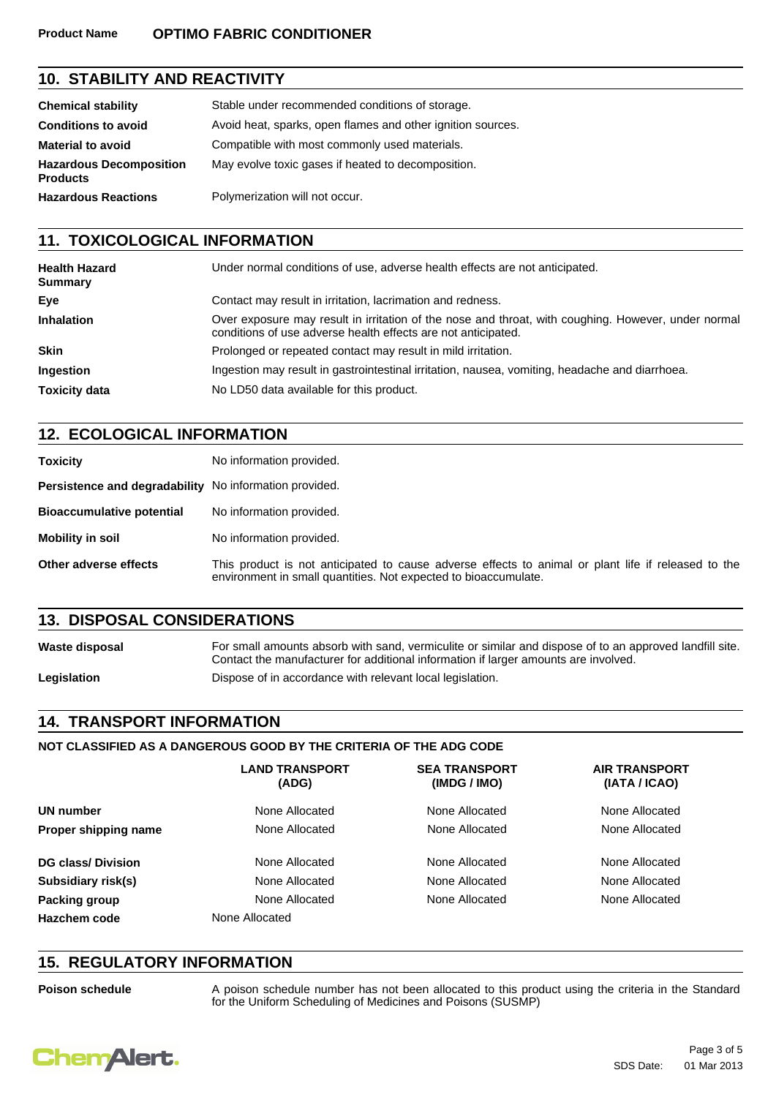#### **Product Name OPTIMO FABRIC CONDITIONER**

## **10. STABILITY AND REACTIVITY**

| <b>Chemical stability</b>                         | Stable under recommended conditions of storage.             |
|---------------------------------------------------|-------------------------------------------------------------|
| <b>Conditions to avoid</b>                        | Avoid heat, sparks, open flames and other ignition sources. |
| <b>Material to avoid</b>                          | Compatible with most commonly used materials.               |
| <b>Hazardous Decomposition</b><br><b>Products</b> | May evolve toxic gases if heated to decomposition.          |
| <b>Hazardous Reactions</b>                        | Polymerization will not occur.                              |

## **11. TOXICOLOGICAL INFORMATION**

| <b>Health Hazard</b><br><b>Summary</b> | Under normal conditions of use, adverse health effects are not anticipated.                                                                                          |  |
|----------------------------------------|----------------------------------------------------------------------------------------------------------------------------------------------------------------------|--|
| Eye                                    | Contact may result in irritation, lacrimation and redness.                                                                                                           |  |
| <b>Inhalation</b>                      | Over exposure may result in irritation of the nose and throat, with coughing. However, under normal<br>conditions of use adverse health effects are not anticipated. |  |
| <b>Skin</b>                            | Prolonged or repeated contact may result in mild irritation.                                                                                                         |  |
| <b>Ingestion</b>                       | Ingestion may result in gastrointestinal irritation, nausea, vomiting, headache and diarrhoea.                                                                       |  |
| <b>Toxicity data</b>                   | No LD50 data available for this product.                                                                                                                             |  |

## **12. ECOLOGICAL INFORMATION**

| <b>Toxicity</b>                                        | No information provided.                                                                                                                                               |
|--------------------------------------------------------|------------------------------------------------------------------------------------------------------------------------------------------------------------------------|
| Persistence and degradability No information provided. |                                                                                                                                                                        |
| <b>Bioaccumulative potential</b>                       | No information provided.                                                                                                                                               |
| Mobility in soil                                       | No information provided.                                                                                                                                               |
| Other adverse effects                                  | This product is not anticipated to cause adverse effects to animal or plant life if released to the<br>environment in small quantities. Not expected to bioaccumulate. |

## **13. DISPOSAL CONSIDERATIONS**

Waste disposal **For small amounts absorb with sand, vermiculite or similar and dispose of to an approved landfill site.** Contact the manufacturer for additional information if larger amounts are involved. Legislation **Dispose of in accordance with relevant local legislation.** 

## **14. TRANSPORT INFORMATION**

#### **NOT CLASSIFIED AS A DANGEROUS GOOD BY THE CRITERIA OF THE ADG CODE**

|                          | <b>LAND TRANSPORT</b><br>(ADG) | <b>SEA TRANSPORT</b><br>(IMDG / IMO) | <b>AIR TRANSPORT</b><br>(IATA / ICAO) |
|--------------------------|--------------------------------|--------------------------------------|---------------------------------------|
| UN number                | None Allocated                 | None Allocated                       | None Allocated                        |
| Proper shipping name     | None Allocated                 | None Allocated                       | None Allocated                        |
| <b>DG class/Division</b> | None Allocated                 | None Allocated                       | None Allocated                        |
| Subsidiary risk(s)       | None Allocated                 | None Allocated                       | None Allocated                        |
| Packing group            | None Allocated                 | None Allocated                       | None Allocated                        |
| Hazchem code             | None Allocated                 |                                      |                                       |

## **15. REGULATORY INFORMATION**

Poison schedule **A** poison schedule number has not been allocated to this product using the criteria in the Standard for the Uniform Scheduling of Medicines and Poisons (SUSMP)

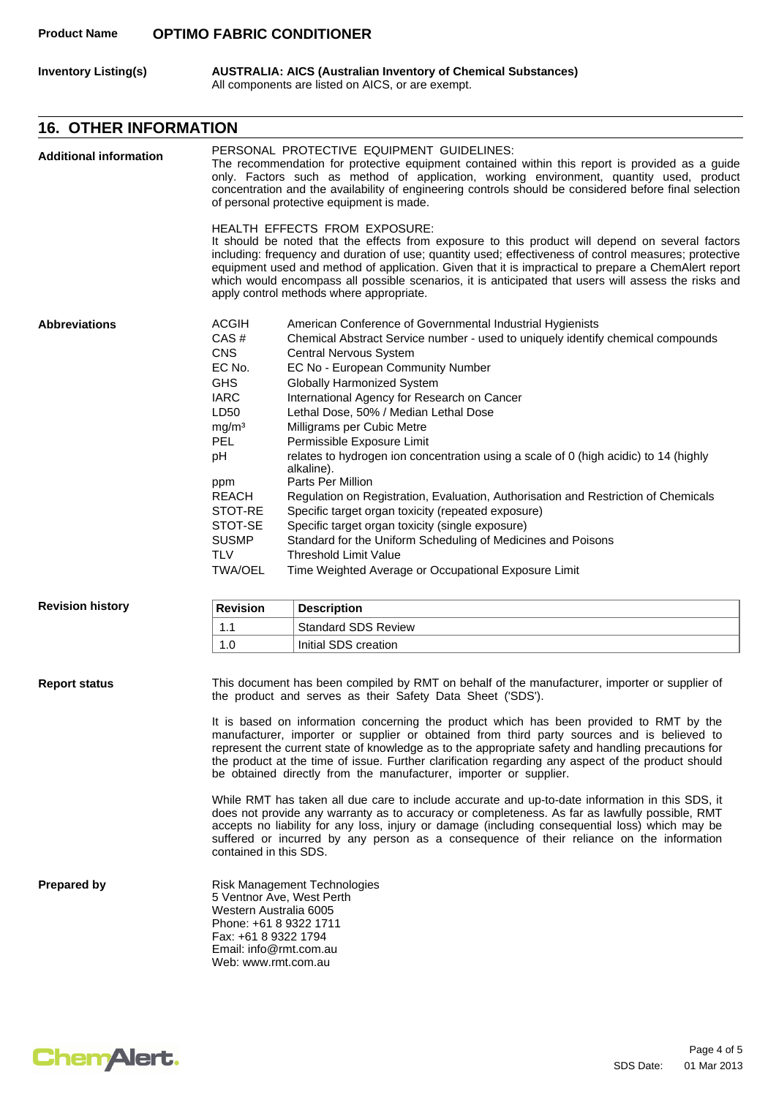#### **Product Name OPTIMO FABRIC CONDITIONER**

**Inventory Listing(s) AUSTRALIA: AICS (Australian Inventory of Chemical Substances)** All components are listed on AICS, or are exempt.

## **16. OTHER INFORMATION**

| <b>Additional information</b>                                                                                                                                                                                                                                                                                                                                                                                                                                                                                                                                                                                                                                          |                                                                                                                                                                                                                                                                                                                                                                                                                                                                                                                                                                                                                                                                                                                                                                                                                                                                                                                                                                                                                                                                     | PERSONAL PROTECTIVE EQUIPMENT GUIDELINES:<br>The recommendation for protective equipment contained within this report is provided as a guide<br>only. Factors such as method of application, working environment, quantity used, product<br>concentration and the availability of engineering controls should be considered before final selection<br>of personal protective equipment is made.                                                                                                                |  |  |
|------------------------------------------------------------------------------------------------------------------------------------------------------------------------------------------------------------------------------------------------------------------------------------------------------------------------------------------------------------------------------------------------------------------------------------------------------------------------------------------------------------------------------------------------------------------------------------------------------------------------------------------------------------------------|---------------------------------------------------------------------------------------------------------------------------------------------------------------------------------------------------------------------------------------------------------------------------------------------------------------------------------------------------------------------------------------------------------------------------------------------------------------------------------------------------------------------------------------------------------------------------------------------------------------------------------------------------------------------------------------------------------------------------------------------------------------------------------------------------------------------------------------------------------------------------------------------------------------------------------------------------------------------------------------------------------------------------------------------------------------------|----------------------------------------------------------------------------------------------------------------------------------------------------------------------------------------------------------------------------------------------------------------------------------------------------------------------------------------------------------------------------------------------------------------------------------------------------------------------------------------------------------------|--|--|
|                                                                                                                                                                                                                                                                                                                                                                                                                                                                                                                                                                                                                                                                        |                                                                                                                                                                                                                                                                                                                                                                                                                                                                                                                                                                                                                                                                                                                                                                                                                                                                                                                                                                                                                                                                     | <b>HEALTH EFFECTS FROM EXPOSURE:</b><br>It should be noted that the effects from exposure to this product will depend on several factors<br>including: frequency and duration of use; quantity used; effectiveness of control measures; protective<br>equipment used and method of application. Given that it is impractical to prepare a ChemAlert report<br>which would encompass all possible scenarios, it is anticipated that users will assess the risks and<br>apply control methods where appropriate. |  |  |
| ACGIH<br><b>Abbreviations</b><br>CAS#<br><b>CNS</b><br><b>Central Nervous System</b><br>EC No.<br>EC No - European Community Number<br><b>GHS</b><br>Globally Harmonized System<br><b>IARC</b><br>International Agency for Research on Cancer<br>LD50<br>Lethal Dose, 50% / Median Lethal Dose<br>Milligrams per Cubic Metre<br>mg/m <sup>3</sup><br>PEL<br>Permissible Exposure Limit<br>pH<br>alkaline).<br>Parts Per Million<br>ppm<br><b>REACH</b><br>STOT-RE<br>Specific target organ toxicity (repeated exposure)<br>STOT-SE<br>Specific target organ toxicity (single exposure)<br><b>SUSMP</b><br><b>TLV</b><br><b>Threshold Limit Value</b><br><b>TWA/OEL</b> |                                                                                                                                                                                                                                                                                                                                                                                                                                                                                                                                                                                                                                                                                                                                                                                                                                                                                                                                                                                                                                                                     | American Conference of Governmental Industrial Hygienists<br>Chemical Abstract Service number - used to uniquely identify chemical compounds<br>relates to hydrogen ion concentration using a scale of 0 (high acidic) to 14 (highly<br>Regulation on Registration, Evaluation, Authorisation and Restriction of Chemicals<br>Standard for the Uniform Scheduling of Medicines and Poisons<br>Time Weighted Average or Occupational Exposure Limit                                                             |  |  |
| <b>Revision history</b>                                                                                                                                                                                                                                                                                                                                                                                                                                                                                                                                                                                                                                                | <b>Revision</b>                                                                                                                                                                                                                                                                                                                                                                                                                                                                                                                                                                                                                                                                                                                                                                                                                                                                                                                                                                                                                                                     | <b>Description</b>                                                                                                                                                                                                                                                                                                                                                                                                                                                                                             |  |  |
|                                                                                                                                                                                                                                                                                                                                                                                                                                                                                                                                                                                                                                                                        | 1.1                                                                                                                                                                                                                                                                                                                                                                                                                                                                                                                                                                                                                                                                                                                                                                                                                                                                                                                                                                                                                                                                 | <b>Standard SDS Review</b>                                                                                                                                                                                                                                                                                                                                                                                                                                                                                     |  |  |
|                                                                                                                                                                                                                                                                                                                                                                                                                                                                                                                                                                                                                                                                        | 1.0                                                                                                                                                                                                                                                                                                                                                                                                                                                                                                                                                                                                                                                                                                                                                                                                                                                                                                                                                                                                                                                                 | Initial SDS creation                                                                                                                                                                                                                                                                                                                                                                                                                                                                                           |  |  |
| <b>Report status</b>                                                                                                                                                                                                                                                                                                                                                                                                                                                                                                                                                                                                                                                   | This document has been compiled by RMT on behalf of the manufacturer, importer or supplier of<br>the product and serves as their Safety Data Sheet ('SDS').<br>It is based on information concerning the product which has been provided to RMT by the<br>manufacturer, importer or supplier or obtained from third party sources and is believed to<br>represent the current state of knowledge as to the appropriate safety and handling precautions for<br>the product at the time of issue. Further clarification regarding any aspect of the product should<br>be obtained directly from the manufacturer, importer or supplier.<br>While RMT has taken all due care to include accurate and up-to-date information in this SDS, it<br>does not provide any warranty as to accuracy or completeness. As far as lawfully possible, RMT<br>accepts no liability for any loss, injury or damage (including consequential loss) which may be<br>suffered or incurred by any person as a consequence of their reliance on the information<br>contained in this SDS. |                                                                                                                                                                                                                                                                                                                                                                                                                                                                                                                |  |  |
| <b>Prepared by</b>                                                                                                                                                                                                                                                                                                                                                                                                                                                                                                                                                                                                                                                     | Risk Management Technologies<br>5 Ventnor Ave, West Perth<br>Western Australia 6005<br>Phone: +61 8 9322 1711<br>Fax: +61 8 9322 1794<br>Email: info@rmt.com.au<br>Web: www.rmt.com.au                                                                                                                                                                                                                                                                                                                                                                                                                                                                                                                                                                                                                                                                                                                                                                                                                                                                              |                                                                                                                                                                                                                                                                                                                                                                                                                                                                                                                |  |  |